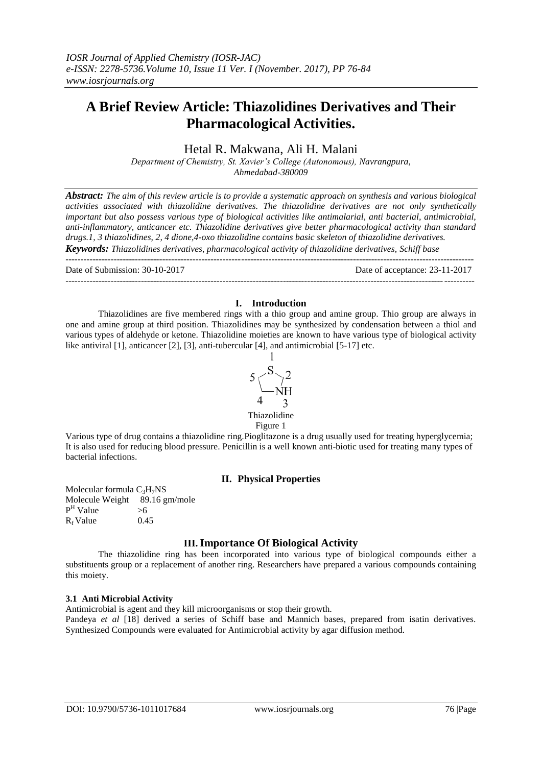# **A Brief Review Article: Thiazolidines Derivatives and Their Pharmacological Activities.**

# Hetal R. Makwana, Ali H. Malani

*Department of Chemistry, St. Xavier's College (Autonomous), Navrangpura, Ahmedabad-380009*

*Abstract: The aim of this review article is to provide a systematic approach on synthesis and various biological activities associated with thiazolidine derivatives. The thiazolidine derivatives are not only synthetically important but also possess various type of biological activities like antimalarial, anti bacterial, antimicrobial, anti-inflammatory, anticancer etc. Thiazolidine derivatives give better pharmacological activity than standard drugs.1, 3 thiazolidines, 2, 4 dione,4-oxo thiazolidine contains basic skeleton of thiazolidine derivatives. Keywords: Thiazolidines derivatives, pharmacological activity of thiazolidine derivatives, Schiff base*

---------------------------------------------------------------------------------------------------------------------------------------

Date of Submission: 30-10-2017 Date of acceptance: 23-11-2017

## **I. Introduction**

---------------------------------------------------------------------------------------------------------------------------------------

Thiazolidines are five membered rings with a thio group and amine group. Thio group are always in one and amine group at third position. Thiazolidines may be synthesized by condensation between a thiol and various types of aldehyde or ketone. Thiazolidine moieties are known to have various type of biological activity like antiviral [1], anticancer [2], [3], anti-tubercular [4], and antimicrobial [5-17] etc.



Figure 1 Various type of drug contains a thiazolidine ring.Pioglitazone is a drug usually used for treating hyperglycemia; It is also used for reducing blood pressure. Penicillin is a well known anti-biotic used for treating many types of bacterial infections.

# **II. Physical Properties**

Molecular formula  $C_3H_7NS$ Molecule Weight 89.16 gm/mole  $P<sup>H</sup>$  Value  $>6$  $R_f$  Value 0.45

# **III.Importance Of Biological Activity**

The thiazolidine ring has been incorporated into various type of biological compounds either a substituents group or a replacement of another ring. Researchers have prepared a various compounds containing this moiety.

# **3.1 Anti Microbial Activity**

Antimicrobial is agent and they kill microorganisms or stop their growth.

Pandeya *et al* [18] derived a series of Schiff base and Mannich bases, prepared from isatin derivatives. Synthesized Compounds were evaluated for Antimicrobial activity by agar diffusion method.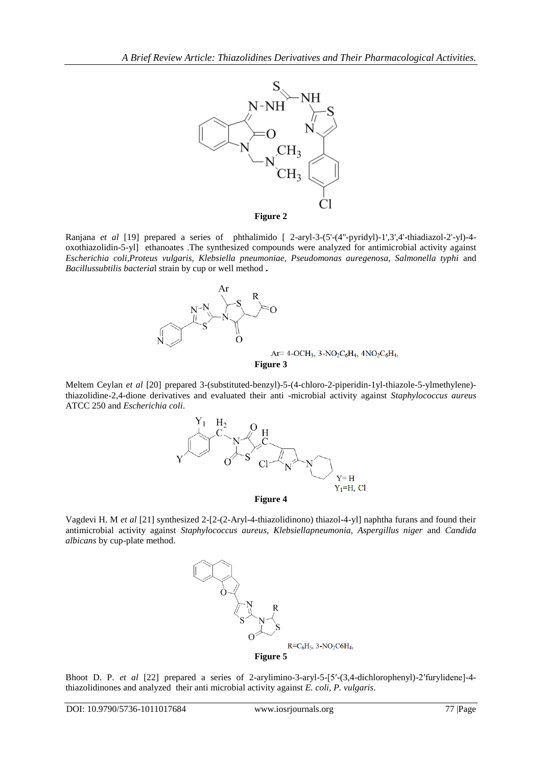

**Figure 2**

Ranjana *et al* [19] prepared a series of phthalimido [ 2-aryl-3-(5'-(4''-pyridyl)-1',3',4'-thiadiazol-2'-yl)-4 oxothiazolidin-5-yl] ethanoates .The synthesized compounds were analyzed for antimicrobial activity against *Escherichia coli,Proteus vulgaris, Klebsiella pneumoniae, Pseudomonas auregenosa, Salmonella typhi* and *Bacillussubtilis bacteria*l strain by cup or well method **.**



Meltem Ceylan *et al* [20] prepared 3-(substituted-benzyl)-5-(4-chloro-2-piperidin-1yl-thiazole-5-ylmethylene) thiazolidine-2,4-dione derivatives and evaluated their anti -microbial activity against *Staphylococcus aureus* ATCC 250 and *Escherichia coli*.



**Figure 4**

Vagdevi H. M *et al* [21] synthesized 2-[2-(2-Aryl-4-thiazolidinono) thiazol-4-yl] naphtha furans and found their antimicrobial activity against *Staphylococcus aureus, Klebsiellapneumonia, Aspergillus niger* and *Candida albicans* by cup-plate method.



Bhoot D. P. *et al* [22] prepared a series of 2-arylimino-3-aryl-5-[5′-(3,4-dichlorophenyl)-2′furylidene]-4 thiazolidinones and analyzed their anti microbial activity against *E. coli, P. vulgaris*.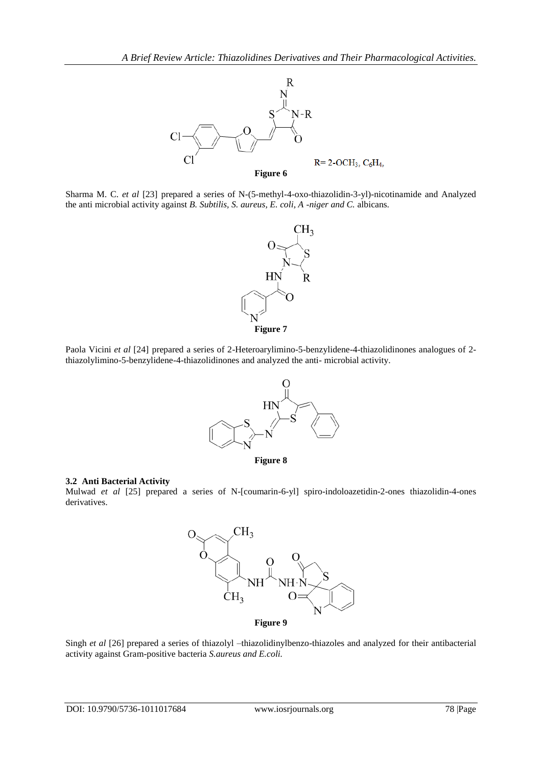

Sharma M. C. *et al* [23] prepared a series of N-(5-methyl-4-oxo-thiazolidin-3-yl)-nicotinamide and Analyzed the anti microbial activity against *B. Subtilis, S. aureus, E. coli, A -niger and C.* albicans.



Paola Vicini *et al* [24] prepared a series of 2-Heteroarylimino-5-benzylidene-4-thiazolidinones analogues of 2 thiazolylimino-5-benzylidene-4-thiazolidinones and analyzed the anti- microbial activity.



#### **3.2 Anti Bacterial Activity**

Mulwad *et al* [25] prepared a series of N-[coumarin-6-yl] spiro-indoloazetidin-2-ones thiazolidin-4-ones derivatives.



Singh *et al* [26] prepared a series of thiazolyl –thiazolidinylbenzo-thiazoles and analyzed for their antibacterial activity against Gram-positive bacteria *S.aureus and E.coli.*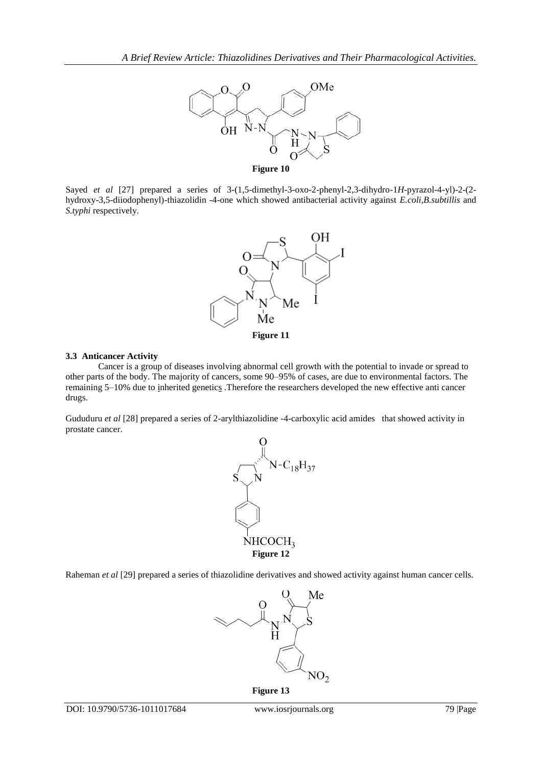

Sayed *et al* [27] prepared a series of 3-(1,5-dimethyl-3-oxo-2-phenyl-2,3-dihydro-1*H*-pyrazol-4-yl)-2-(2 hydroxy-3,5-diiodophenyl)-thiazolidin -4-one which showed antibacterial activity against *E.coli,B.subtillis* and *S.typhi* respectively.



#### **3.3 Anticancer Activity**

Cancer is a group of diseases involving abnormal [cell growth](https://en.wikipedia.org/wiki/Cell_growth) with the potential to invade or spread to other parts of the body. The majority of cancers, some 90–95% of cases, are due to [environmental factors.](https://en.wikipedia.org/wiki/Environmental_disease) The remaining 5–10% due to [inherited genetics](https://en.wikipedia.org/wiki/Heredity) .Therefore the researchers developed the new effective anti cancer drugs.

Gududuru *et al* [28] prepared a series of 2-arylthiazolidine -4-carboxylic acid amides that showed activity in prostate cancer.



Raheman *et al* [29] prepared a series of thiazolidine derivatives and showed activity against human cancer cells.



**Figure 13**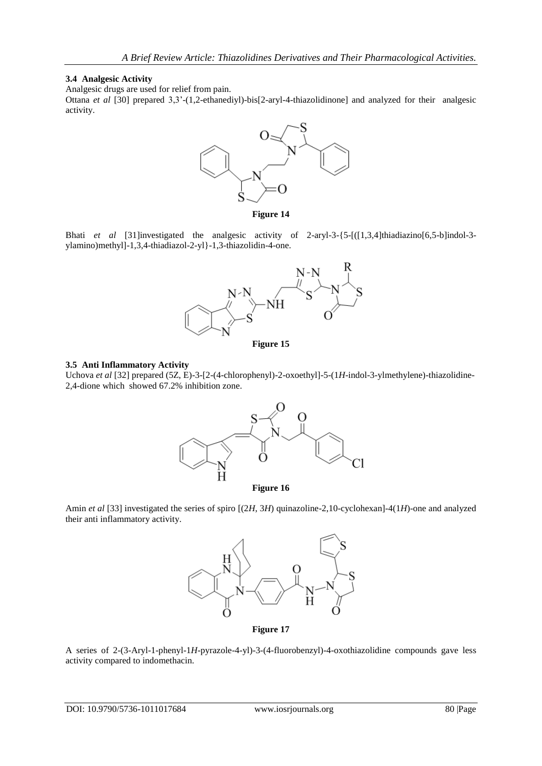#### **3.4 Analgesic Activity**

Analgesic drugs are used for relief from pain.

Ottana *et al* [30] prepared 3,3'-(1,2-ethanediyl)-bis[2-aryl-4-thiazolidinone] and analyzed for their analgesic activity.



**Figure 14**

Bhati *et al* [31]investigated the analgesic activity of 2-aryl-3-{5-[([1,3,4]thiadiazino[6,5-b]indol-3 ylamino)methyl]-1,3,4-thiadiazol-2-yl}-1,3-thiazolidin-4-one.





### **3.5 Anti Inflammatory Activity**

Uchova *et al* [32] prepared (5Z, E)-3-[2-(4-chlorophenyl)-2-oxoethyl]-5-(1*H*-indol-3-ylmethylene)-thiazolidine-2,4-dione which showed 67.2% inhibition zone.



**Figure 16**

Amin *et al* [33] investigated the series of spiro [(2*H*, 3*H*) quinazoline-2,10-cyclohexan]-4(1*H*)-one and analyzed their anti inflammatory activity.



**Figure 17**

A series of 2-(3-Aryl-1-phenyl-1*H*-pyrazole-4-yl)-3-(4-fluorobenzyl)-4-oxothiazolidine compounds gave less activity compared to indomethacin.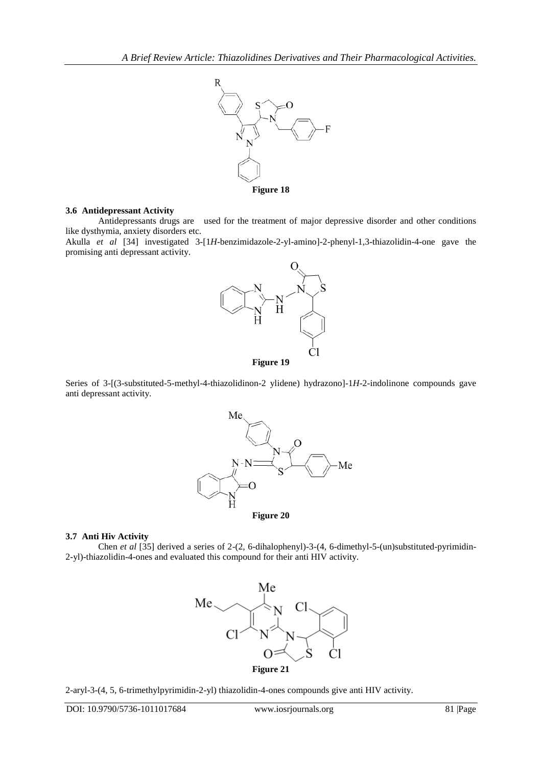

### **3.6 Antidepressant Activity**

Antidepressants drugs are used for the treatment of [major depressive disorder](https://en.wikipedia.org/wiki/Major_depressive_disorder) and other conditions like [dysthymia,](https://en.wikipedia.org/wiki/Dysthymia) [anxiety disorders](https://en.wikipedia.org/wiki/Anxiety_disorder) etc.

Akulla *et al* [34] investigated 3-[1*H*-benzimidazole-2-yl-amino]-2-phenyl-1,3-thiazolidin-4-one gave the promising anti depressant activity.



Series of 3-[(3-substituted-5-methyl-4-thiazolidinon-2 ylidene) hydrazono]-1*H*-2-indolinone compounds gave anti depressant activity.



#### **3.7 Anti Hiv Activity**

Chen *et al* [35] derived a series of 2-(2, 6-dihalophenyl)-3-(4, 6-dimethyl-5-(un)substituted-pyrimidin-2-yl)-thiazolidin-4-ones and evaluated this compound for their anti HIV activity.



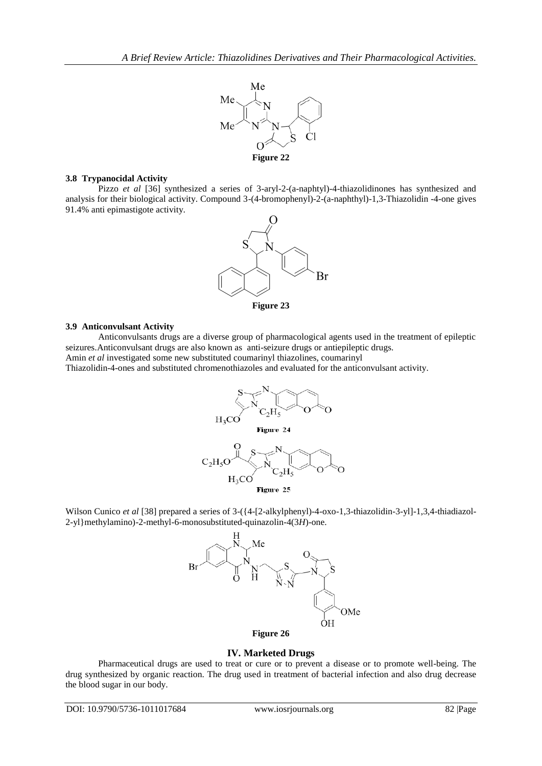

## **3.8 Trypanocidal Activity**

Pizzo *et al* [36] synthesized a series of 3-aryl-2-(a-naphtyl)-4-thiazolidinones has synthesized and analysis for their biological activity. Compound 3-(4-bromophenyl)-2-(a-naphthyl)-1,3-Thiazolidin -4-one gives 91.4% anti epimastigote activity.



### **3.9 Anticonvulsant Activity**

Anticonvulsants drugs are a diverse group of pharmacological agents used in the treatment of epileptic seizures. Anticonvulsant drugs are also known as anti-seizure drugs or antiepileptic drugs.

Amin *et al* investigated some new substituted coumarinyl thiazolines, coumarinyl

Thiazolidin-4-ones and substituted chromenothiazoles and evaluated for the anticonvulsant activity.







# **Figure 26**

### **IV. Marketed Drugs**

Pharmaceutical drugs are used to treat or cure or to prevent a disease or to promote well-being. The drug synthesized by organic reaction. The drug used in treatment of bacterial infection and also drug decrease the blood sugar in our body.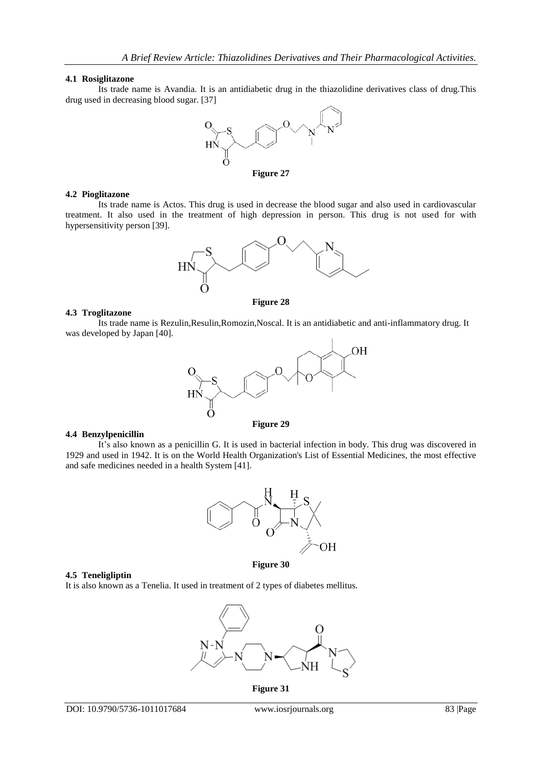#### **4.1 Rosiglitazone**

Its trade name is Avandia. It is an antidiabetic drug in the thiazolidine derivatives class of drug.This drug used in decreasing blood sugar. [37]



#### **4.2 Pioglitazone**

Its trade name is Actos. This drug is used in decrease the blood sugar and also used in cardiovascular treatment. It also used in the treatment of high depression in person. This drug is not used for with hypersensitivity person [39].



#### **4.3 Troglitazone**

Its trade name is Rezulin,Resulin,Romozin,Noscal. It is an antidiabetic and anti-inflammatory drug. It was developed by Japan [40].



#### **4.4 Benzylpenicillin**

It's also known as a penicillin G. It is used in bacterial infection in body. This drug was discovered in 1929 and used in 1942. It is on the [World Health Organization's List of Essential Medicines,](https://en.wikipedia.org/wiki/World_Health_Organization%27s_List_of_Essential_Medicines) the most effective and safe medicines needed in a [health System](https://en.wikipedia.org/wiki/Health_system) [41].



### **Figure 30**